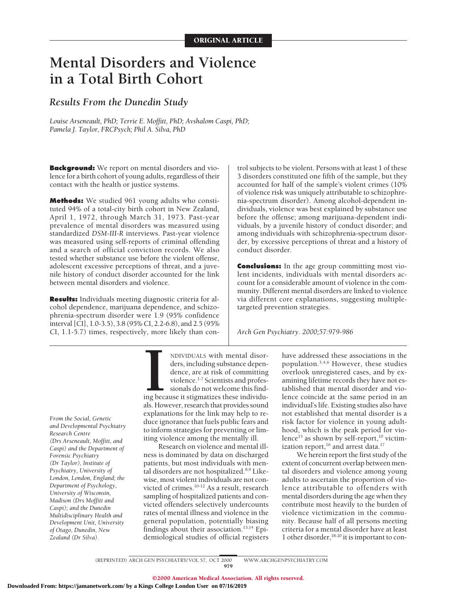# **Mental Disorders and Violence in a Total Birth Cohort**

# *Results From the Dunedin Study*

*Louise Arseneault, PhD; Terrie E. Moffitt, PhD; Avshalom Caspi, PhD; Pamela J. Taylor, FRCPsych; Phil A. Silva, PhD*

**Background:** We report on mental disorders and violence for a birth cohort of young adults, regardless of their contact with the health or justice systems.

**Methods:** We studied 961 young adults who constituted 94% of a total-city birth cohort in New Zealand, April 1, 1972, through March 31, 1973. Past-year prevalence of mental disorders was measured using standardized *DSM-III-R* interviews. Past-year violence was measured using self-reports of criminal offending and a search of official conviction records. We also tested whether substance use before the violent offense, adolescent excessive perceptions of threat, and a juvenile history of conduct disorder accounted for the link between mental disorders and violence.

**Results:** Individuals meeting diagnostic criteria for alcohol dependence, marijuana dependence, and schizophrenia-spectrum disorder were 1.9 (95% confidence interval [CI], 1.0-3.5), 3.8 (95% CI, 2.2-6.8), and 2.5 (95% CI, 1.1-5.7) times, respectively, more likely than control subjects to be violent. Persons with at least 1 of these 3 disorders constituted one fifth of the sample, but they accounted for half of the sample's violent crimes (10% of violence risk was uniquely attributable to schizophrenia-spectrum disorder). Among alcohol-dependent individuals, violence was best explained by substance use before the offense; among marijuana-dependent individuals, by a juvenile history of conduct disorder; and among individuals with schizophrenia-spectrum disorder, by excessive perceptions of threat and a history of conduct disorder.

**Conclusions:** In the age group committing most violent incidents, individuals with mental disorders account for a considerable amount of violence in the community. Different mental disorders are linked to violence via different core explanations, suggesting multipletargeted prevention strategies.

*Arch Gen Psychiatry. 2000;57:979-986*

*From the Social, Genetic and Developmental Psychiatry Research Centre (Drs Arseneault, Moffitt, and Caspi) and the Department of Forensic Psychiatry (Dr Taylor), Institute of Psychiatry, University of London, London, England; the Department of Psychology, University of Wisconsin, Madison (Drs Moffitt and Caspi); and the Dunedin Multidisciplinary Health and Development Unit, University of Otago, Dunedin, New Zealand (Dr Silva).*

**I** NDIVIDUALS with mental disorders, including substance dependence, are at risk of committing violence.<sup>1-7</sup> Scientists and professionals do not welcome this finding because it stigmatizes these individuals. However, research that provides sound explanations for the link may help to reduce ignorance that fuels public fears and to inform strategies for preventing or limiting violence among the mentally ill.

Research on violence and mental illness is dominated by data on discharged patients, but most individuals with mental disorders are not hospitalized.<sup>8,9</sup> Likewise, most violent individuals are not convicted of crimes.<sup>10-12</sup> As a result, research sampling of hospitalized patients and convicted offenders selectively undercounts rates of mental illness and violence in the general population, potentially biasing findings about their association.<sup>13,14</sup> Epidemiological studies of official registers

have addressed these associations in the population.3,4,6 However, these studies overlook unregistered cases, and by examining lifetime records they have not established that mental disorder and violence coincide at the same period in an individual's life. Existing studies also have not established that mental disorder is a risk factor for violence in young adulthood, which is the peak period for violence<sup>15</sup> as shown by self-report,<sup>10</sup> victimization report,<sup>16</sup> and arrest data.<sup>17</sup>

We herein report the first study of the extent of concurrent overlap between mental disorders and violence among young adults to ascertain the proportion of violence attributable to offenders with mental disorders during the age when they contribute most heavily to the burden of violence victimization in the community. Because half of all persons meeting criteria for a mental disorder have at least 1 other disorder,18-20 it is important to con-

(REPRINTED) ARCH GEN PSYCHIATRY/ VOL 57, OCT 2000 WWW.ARCHGENPSYCHIATRY.COM 070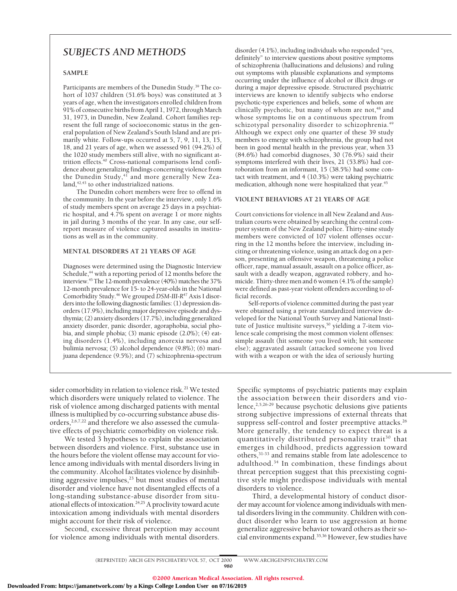# *SUBJECTS AND METHODS*

# **SAMPLE**

Participants are members of the Dunedin Study.39 The cohort of 1037 children (51.6% boys) was constituted at 3 years of age, when the investigators enrolled children from 91% of consecutive births from April 1, 1972, through March 31, 1973, in Dunedin, New Zealand. Cohort families represent the full range of socioeconomic status in the general population of New Zealand's South Island and are primarily white. Follow-ups occurred at 5, 7, 9, 11, 13, 15, 18, and 21 years of age, when we assessed 961 (94.2%) of the 1020 study members still alive, with no significant attrition effects.<sup>40</sup> Cross-national comparisons lend confidence about generalizing findings concerning violence from the Dunedin Study,<sup>41</sup> and more generally New Zealand, $42,43$  to other industrialized nations.

The Dunedin cohort members were free to offend in the community. In the year before the interview, only 1.6% of study members spent on average 25 days in a psychiatric hospital, and 4.7% spent on average 1 or more nights in jail during 3 months of the year. In any case, our selfreport measure of violence captured assaults in institutions as well as in the community.

#### **MENTAL DISORDERS AT 21 YEARS OF AGE**

Diagnoses were determined using the Diagnostic Interview Schedule,<sup>44</sup> with a reporting period of 12 months before the interview.<sup>45</sup> The 12-month prevalence (40%) matches the 37% 12-month prevalence for 15- to 24-year-olds in the National Comorbidity Study.46 We grouped *DSM-III-R*<sup>47</sup> Axis I disorders into the following diagnostic families: (1) depression disorders (17.9%), including major depressive episode and dysthymia; (2) anxiety disorders (17.7%), including generalized anxiety disorder, panic disorder, agoraphobia, social phobia, and simple phobia; (3) manic episode (2.0%); (4) eating disorders (1.4%), including anorexia nervosa and bulimia nervosa; (5) alcohol dependence (9.8%); (6) marijuana dependence (9.5%); and (7) schizophrenia-spectrum

disorder (4.1%), including individuals who responded "yes, definitely" to interview questions about positive symptoms of schizophrenia (hallucinations and delusions) and ruling out symptoms with plausible explanations and symptoms occurring under the influence of alcohol or illicit drugs or during a major depressive episode. Structured psychiatric interviews are known to identify subjects who endorse psychotic-type experiences and beliefs, some of whom are clinically psychotic, but many of whom are not, $48$  and whose symptoms lie on a continuous spectrum from schizotypal personality disorder to schizophrenia.<sup>49</sup> Although we expect only one quarter of these 39 study members to emerge with schizophrenia, the group had not been in good mental health in the previous year, when 33 (84.6%) had comorbid diagnoses, 30 (76.9%) said their symptoms interfered with their lives, 21 (53.8%) had corroboration from an informant, 15 (38.5%) had some contact with treatment, and 4 (10.3%) were taking psychiatric medication, although none were hospitalized that year.<sup>45</sup>

### **VIOLENT BEHAVIORS AT 21 YEARS OF AGE**

Court convictions for violence in all New Zealand and Australian courts were obtained by searching the central computer system of the New Zealand police. Thirty-nine study members were convicted of 107 violent offenses occurring in the 12 months before the interview, including inciting or threatening violence, using an attack dog on a person, presenting an offensive weapon, threatening a police officer, rape, manual assault, assault on a police officer, assault with a deadly weapon, aggravated robbery, and homicide. Thirty-three men and 6 women (4.1% of the sample) were defined as past-year violent offenders according to official records.

Self-reports of violence committed during the past year were obtained using a private standardized interview developed for the National Youth Survey and National Institute of Justice multisite surveys,<sup>50</sup> yielding a 7-item violence scale comprising the most common violent offenses: simple assault (hit someone you lived with; hit someone else); aggravated assault (attacked someone you lived with with a weapon or with the idea of seriously hurting

sider comorbidity in relation to violence risk.<sup>21</sup> We tested which disorders were uniquely related to violence. The risk of violence among discharged patients with mental illness is multiplied by co-occurring substance abuse disorders,<sup>2,6,7,22</sup> and therefore we also assessed the cumulative effects of psychiatric comorbidity on violence risk.

We tested 3 hypotheses to explain the association between disorders and violence. First, substance use in the hours before the violent offense may account for violence among individuals with mental disorders living in the community. Alcohol facilitates violence by disinhibiting aggressive impulses,<sup>23</sup> but most studies of mental disorder and violence have not disentangled effects of a long-standing substance-abuse disorder from situational effects of intoxication.<sup>24,25</sup> A proclivity toward acute intoxication among individuals with mental disorders might account for their risk of violence.

Second, excessive threat perception may account for violence among individuals with mental disorders.

Specific symptoms of psychiatric patients may explain the association between their disorders and violence,2,5,26-29 because psychotic delusions give patients strong subjective impressions of external threats that suppress self-control and foster preemptive attacks.<sup>26</sup> More generally, the tendency to expect threat is a quantitatively distributed personality trait<sup>30</sup> that emerges in childhood, predicts aggression toward others,31-33 and remains stable from late adolescence to adulthood.34 In combination, these findings about threat perception suggest that this preexisting cognitive style might predispose individuals with mental disorders to violence.

Third, a developmental history of conduct disorder may account for violence among individuals with mental disorders living in the community. Children with conduct disorder who learn to use aggression at home generalize aggressive behavior toward others as their social environments expand.35,36 However, few studies have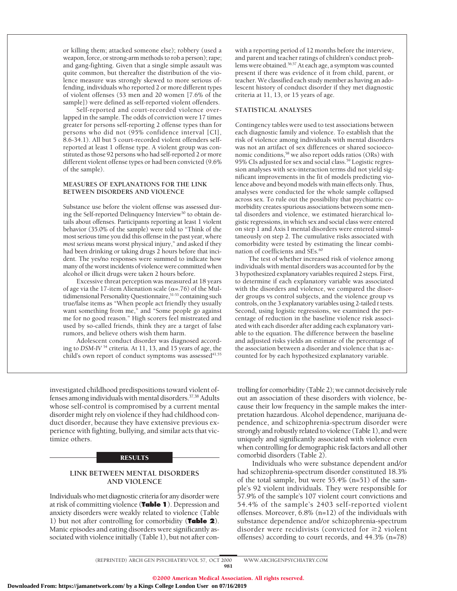or killing them; attacked someone else); robbery (used a weapon, force, or strong-arm methods to rob a person); rape; and gang-fighting. Given that a single simple assault was quite common, but thereafter the distribution of the violence measure was strongly skewed to more serious offending, individuals who reported 2 or more different types of violent offenses (53 men and 20 women [7.6% of the sample]) were defined as self-reported violent offenders.

Self-reported and court-recorded violence overlapped in the sample. The odds of conviction were 17 times greater for persons self-reporting 2 offense types than for persons who did not (95% confidence interval [CI], 8.6-34.1). All but 5 court-recorded violent offenders selfreported at least 1 offense type. A violent group was constituted as those 92 persons who had self-reported 2 or more different violent offense types or had been convicted (9.6% of the sample).

#### **MEASURES OF EXPLANATIONS FOR THE LINK BETWEEN DISORDERS AND VIOLENCE**

Substance use before the violent offense was assessed during the Self-reported Delinquency Interview<sup>50</sup> to obtain details about offenses. Participants reporting at least 1 violent behavior (35.0% of the sample) were told to "Think of the most serious time you did this offense in the past year, where *most serious* means worst physical injury," and asked if they had been drinking or taking drugs 2 hours before that incident. The yes/no responses were summed to indicate how many of the worst incidents of violence were committed when alcohol or illicit drugs were taken 2 hours before.

Excessive threat perception was measured at 18 years of age via the 17-item Alienation scale ( $\alpha$ =.76) of the Multidimensional Personality Questionnaire,<sup>51-53</sup> containing such true/false items as "When people act friendly they usually want something from me," and "Some people go against me for no good reason." High scorers feel mistreated and used by so-called friends, think they are a target of false rumors, and believe others wish them harm.

Adolescent conduct disorder was diagnosed according to *DSM-IV* <sup>54</sup> criteria. At 11, 13, and 15 years of age, the child's own report of conduct symptoms was assessed<sup>41,55</sup> with a reporting period of 12 months before the interview, and parent and teacher ratings of children's conduct problems were obtained.<sup>56,57</sup> At each age, a symptom was counted present if there was evidence of it from child, parent, or teacher. We classified each study member as having an adolescent history of conduct disorder if they met diagnostic criteria at 11, 13, or 15 years of age.

#### **STATISTICAL ANALYSES**

Contingency tables were used to test associations between each diagnostic family and violence. To establish that the risk of violence among individuals with mental disorders was not an artifact of sex differences or shared socioeconomic conditions,<sup>58</sup> we also report odds ratios (ORs) with 95% CIs adjusted for sex and social class.59 Logistic regression analyses with sex-interaction terms did not yield significant improvements in the fit of models predicting violence above and beyond models with main effects only. Thus, analyses were conducted for the whole sample collapsed across sex. To rule out the possibility that psychiatric comorbidity creates spurious associations between some mental disorders and violence, we estimated hierarchical logistic regressions, in which sex and social class were entered on step 1 and Axis I mental disorders were entered simultaneously on step 2. The cumulative risks associated with comorbidity were tested by estimating the linear combination of coefficients and SEs.<sup>60</sup>

The test of whether increased risk of violence among individuals with mental disorders was accounted for by the 3 hypothesized explanatory variables required 2 steps. First, to determine if each explanatory variable was associated with the disorders and violence, we compared the disorder groups vs control subjects, and the violence group vs controls, on the 3 explanatory variables using 2-tailed *t* tests. Second, using logistic regressions, we examined the percentage of reduction in the baseline violence risk associated with each disorder after adding each explanatory variable to the equation. The difference between the baseline and adjusted risks yields an estimate of the percentage of the association between a disorder and violence that is accounted for by each hypothesized explanatory variable.

investigated childhood predispositions toward violent offenses among individuals with mental disorders.<sup>37,38</sup> Adults whose self-control is compromised by a current mental disorder might rely on violence if they had childhood conduct disorder, because they have extensive previous experience with fighting, bullying, and similar acts that victimize others.

#### **RESULTS**

# **LINK BETWEEN MENTAL DISORDERS AND VIOLENCE**

Individuals who met diagnostic criteria for any disorder were at risk of committing violence (**Table 1**). Depression and anxiety disorders were weakly related to violence (Table 1) but not after controlling for comorbidity (**Table 2**). Manic episodes and eating disorders were significantly associated with violence initially (Table 1), but not after controlling for comorbidity (Table 2); we cannot decisively rule out an association of these disorders with violence, because their low frequency in the sample makes the interpretation hazardous. Alcohol dependence, marijuana dependence, and schizophrenia-spectrum disorder were strongly and robustly related to violence (Table 1), and were uniquely and significantly associated with violence even when controlling for demographic risk factors and all other comorbid disorders (Table 2).

Individuals who were substance dependent and/or had schizophrenia-spectrum disorder constituted 18.3% of the total sample, but were 55.4% (n=51) of the sample's 92 violent individuals. They were responsible for 57.9% of the sample's 107 violent court convictions and 54.4% of the sample's 2403 self-reported violent offenses. Moreover, 6.8% (n=12) of the individuals with substance dependence and/or schizophrenia-spectrum disorder were recidivists (convicted for  $\geq 2$  violent offenses) according to court records, and 44.3% (n=78)

(REPRINTED) ARCH GEN PSYCHIATRY/ VOL 57, OCT 2000 WWW.ARCHGENPSYCHIATRY.COM 081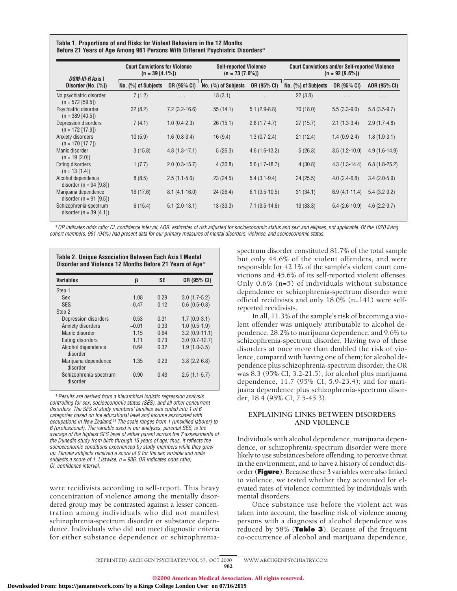| Table 1. Proportions of and Risks for Violent Behaviors in the 12 Months       |  |
|--------------------------------------------------------------------------------|--|
| Before 21 Years of Age Among 961 Persons With Different Psychiatric Disorders* |  |

|                                                      | <b>Court Convictions for Violence</b><br>$(n = 39 [4.1\%])$ |                   | <b>Self-reported Violence</b><br>$(n = 73 [7.6\%])$ |                 | <b>Court Convictions and/or Self-reported Violence</b><br>$(n = 92 [9.6\%])$ |                 |                 |  |
|------------------------------------------------------|-------------------------------------------------------------|-------------------|-----------------------------------------------------|-----------------|------------------------------------------------------------------------------|-----------------|-----------------|--|
| DSM-III-R Axis I<br>Disorder (No. [%])               | $No.$ $(\%)$ of Subjects                                    | OR (95% CI)       | No. (%) of Subjects                                 | OR (95% CI)     | No. (%) of Subjects                                                          | OR (95% CI)     | AOR (95% CI)    |  |
| No psychiatric disorder<br>$(n = 572 [59.5])$        | 7(1.2)                                                      | .                 | 18(3.1)                                             | $\cdots$        | 22(3.8)                                                                      | $\cdots$        | .               |  |
| Psychiatric disorder<br>$(n = 389 [40.5])$           | 32(8.2)                                                     | $7.2(3.2 - 16.6)$ | 55 (14.1)                                           | $5.1(2.9-8.8)$  | 70 (18.0)                                                                    | $5.5(3.3-9.0)$  | $5.8(3.5-9.7)$  |  |
| Depression disorders<br>$(n = 172 [17.9])$           | 7(4.1)                                                      | $1.0(0.4-2.3)$    | 26(15.1)                                            | $2.8(1.7-4.7)$  | 27(15.7)                                                                     | $2.1(1.3-3.4)$  | $2.9(1.7-4.8)$  |  |
| Anxiety disorders<br>$(n = 170 [17.7])$              | 10(5.9)                                                     | $1.6(0.8-3.4)$    | 16(9.4)                                             | $1.3(0.7-2.4)$  | 21(12.4)                                                                     | $1.4(0.9-2.4)$  | $1.8(1.0-3.1)$  |  |
| Manic disorder<br>$(n = 19$ [2.0])                   | 3(15.8)                                                     | $4.8(1.3-17.1)$   | 5(26.3)                                             | $4.6(1.6-13.2)$ | 5(26.3)                                                                      | $3.5(1.2-10.0)$ | $4.9(1.6-14.9)$ |  |
| Eating disorders<br>$(n = 13 [1.4])$                 | 1(7.7)                                                      | $2.0(0.3-15.7)$   | 4(30.8)                                             | $5.6(1.7-18.7)$ | 4(30.8)                                                                      | $4.3(1.3-14.4)$ | $6.8(1.8-25.2)$ |  |
| Alcohol dependence<br>disorder ( $n = 94$ [9.8])     | 8(8.5)                                                      | $2.5(1.1-5.6)$    | 23(24.5)                                            | $5.4(3.1-9.4)$  | 24(25.5)                                                                     | $4.0(2.4-6.8)$  | $3.4(2.0-5.9)$  |  |
| Marijuana dependence<br>disorder ( $n = 91$ [9.5])   | 16(17.6)                                                    | $8.1(4.1-16.0)$   | 24 (26.4)                                           | $6.1(3.5-10.5)$ | 31(34.1)                                                                     | $6.9(4.1-11.4)$ | $5.4(3.2-9.2)$  |  |
| Schizophrenia-spectrum<br>disorder ( $n = 39$ [4.1]) | 6(15.4)                                                     | $5.1(2.0-13.1)$   | 13(33.3)                                            | $7.1(3.5-14.6)$ | 13(33.3)                                                                     | $5.4(2.6-10.9)$ | $4.6(2.2-9.7)$  |  |

\*OR indicates odds ratio; CI, confidence interval; AOR, estimates of risk adjusted for socioeconomic status and sex; and ellipses, not applicable. Of the 1020 living cohort members, 961 (94%) had present data for our primary measures of mental disorders, violence, and socioeconomic status.

| <b>Variables</b>                   | β       | SE   | OR (95% CI)     |
|------------------------------------|---------|------|-----------------|
| Step 1                             |         |      |                 |
| Sex                                | 1.08    | 0.29 | $3.0(1.7-5.2)$  |
| <b>SES</b>                         | $-0.47$ | 0.12 | $0.6(0.5-0.8)$  |
| Step 2                             |         |      |                 |
| Depression disorders               | 0.53    | 0.31 | $1.7(0.9-3.1)$  |
| Anxiety disorders                  | $-0.01$ | 0.33 | $1.0(0.5-1.9)$  |
| Manic disorder                     | 1.15    | 0.64 | $3.2(0.9-11.1)$ |
| Eating disorders                   | 1.11    | 0.73 | $3.0(0.7-12.7)$ |
| Alcohol dependence<br>disorder     | 0.64    | 0.32 | $1.9(1.0-3.5)$  |
| Marijuana dependence<br>disorder   | 1.35    | 0.29 | $3.8(2.2-6.8)$  |
| Schizophrenia-spectrum<br>disorder | 0.90    | 0.43 | $2.5(1.1-5.7)$  |

\*Results are derived from <sup>a</sup> hierarchical logistic regression analysis controlling for sex, socioeconomic status (SES), and all other concurrent disorders. The SES of study members' families was coded into 1 of 6 categories based on the educational level and income associated with occupations in New Zealand.<sup>59</sup> The scale ranges from 1 (unskilled laborer) to 6 (professional). The variable used in our analyses, parental SES, is the average of the highest SES level of either parent across the 7 assessments of the Dunedin study from birth through 15 years of age; thus, it reflects the socioeconomic conditions experienced by study members while they grew up. Female subjects received <sup>a</sup> score of 0 for the sex variable and male subjects a score of 1. Listwise,  $n = 936$ . OR indicates odds ratio; CI, confidence interval.

were recidivists according to self-report. This heavy concentration of violence among the mentally disordered group may be contrasted against a lesser concentration among individuals who did not manifest schizophrenia-spectrum disorder or substance dependence. Individuals who did not meet diagnostic criteria for either substance dependence or schizophreniaspectrum disorder constituted 81.7% of the total sample but only 44.6% of the violent offenders, and were responsible for 42.1% of the sample's violent court convictions and 45.6% of its self-reported violent offenses. Only 0.6% (n=5) of individuals without substance dependence or schizophrenia-spectrum disorder were official recidivists and only 18.0% (n=141) were selfreported recidivists.

In all, 11.3% of the sample's risk of becoming a violent offender was uniquely attributable to alcohol dependence, 28.2% to marijuana dependence, and 9.6% to schizophrenia-spectrum disorder. Having two of these disorders at once more than doubled the risk of violence, compared with having one of them; for alcohol dependence plus schizophrenia-spectrum disorder, the OR was 8.3 (95% CI, 3.2-21.5); for alcohol plus marijuana dependence, 11.7 (95% CI, 5.9-23.4); and for marijuana dependence plus schizophrenia-spectrum disorder, 18.4 (95% CI, 7.5-45.3).

## **EXPLAINING LINKS BETWEEN DISORDERS AND VIOLENCE**

Individuals with alcohol dependence, marijuana dependence, or schizophrenia-spectrum disorder were more likely to use substances before offending, to perceive threat in the environment, and to have a history of conduct disorder (**Figure**). Because these 3 variables were also linked to violence, we tested whether they accounted for elevated rates of violence committed by individuals with mental disorders.

Once substance use before the violent act was taken into account, the baseline risk of violence among persons with a diagnosis of alcohol dependence was reduced by 58% (**Table 3**). Because of the frequent co-occurrence of alcohol and marijuana dependence,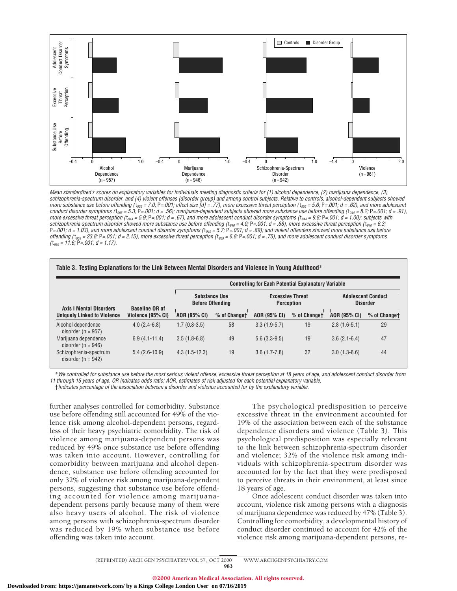

Mean standardized z scores on explanatory variables for individuals meeting diagnostic criteria for (1) alcohol dependence, (2) marijuana dependence, (3) schizophrenia-spectrum disorder, and (4) violent offenses (disorder group) and among control subjects. Relative to controls, alcohol-dependent subjects showed more substance use before offending (t $_{955}$  = 7.0; P=.001; effect size [d] = .77), more excessive threat perception (t $_{955}$  = 5.6; P=.001; d = .62), and more adolescent conduct disorder symptoms (t<sub>955</sub> = 5.3; P=.001; d = .56); marijuana-dependent subjects showed more substance use before offending (t<sub>944</sub> = 8.2; P=.001; d = .91), more excessive threat perception (t<sub>944</sub> = 5.9; P=.001; d = .67), and more adolescent conduct disorder symptoms (t<sub>944</sub> = 9.8; P=.001; d = 1.00); subjects with schizophrenia-spectrum disorder showed more substance use before offending (t $_{940}$  = 4.0; P=.001; d = .68), more excessive threat perception (t $_{940}$  = 6.3; P=.001; d = 1.03), and more adolescent conduct disorder symptoms (t $_{940}$  = 5.7; P=.001; d = .89); and violent offenders showed more substance use before offending ( $t_{959}$  = 23.8; P=.001; d = 2.15), more excessive threat perception ( $t_{959}$  = 6.8; P=.001; d = .75), and more adolescent conduct disorder symptoms  $(t_{959} = 11.6; P = .001; d = 1.17).$ 

| Table 3. Testing Explanations for the Link Between Mental Disorders and Violence in Young Adulthood $^\ast$ |                                            |                                                            |              |                                       |              |                                              |              |  |
|-------------------------------------------------------------------------------------------------------------|--------------------------------------------|------------------------------------------------------------|--------------|---------------------------------------|--------------|----------------------------------------------|--------------|--|
|                                                                                                             |                                            | <b>Controlling for Each Potential Explanatory Variable</b> |              |                                       |              |                                              |              |  |
| <b>Axis I Mental Disorders</b><br><b>Uniquely Linked to Violence</b>                                        | <b>Baseline OR of</b><br>Violence (95% CI) | <b>Substance Use</b><br><b>Before Offending</b>            |              | <b>Excessive Threat</b><br>Perception |              | <b>Adolescent Conduct</b><br><b>Disorder</b> |              |  |
|                                                                                                             |                                            | AOR (95% CI)                                               | % of Changet | AOR (95% CI)                          | % of Changet | AOR (95% CI)                                 | % of Changet |  |
| Alcohol dependence<br>disorder ( $n = 957$ )                                                                | $4.0(2.4-6.8)$                             | $1.7(0.8-3.5)$                                             | 58           | $3.3(1.9-5.7)$                        | 19           | $2.8(1.6-5.1)$                               | 29           |  |
| Marijuana dependence<br>disorder ( $n = 946$ )                                                              | $6.9(4.1 - 11.4)$                          | $3.5(1.8-6.8)$                                             | 49           | $5.6(3.3-9.5)$                        | 19           | $3.6(2.1-6.4)$                               | 47           |  |
| Schizophrenia-spectrum<br>disorder ( $n = 942$ )                                                            | $5.4(2.6-10.9)$                            | $4.3(1.5-12.3)$                                            | 19           | $3.6(1.7-7.8)$                        | 32           | $3.0(1.3-6.6)$                               | 44           |  |

\*We controlled for substance use before the most serious violent offense, excessive threat perception at 18 years of age, and adolescent conduct disorder from 11 through 15 years of age. OR indicates odds ratio; AOR, estimates of risk adjusted for each potential explanatory variable.

†Indicates percentage of the association between <sup>a</sup> disorder and violence accounted for by the explanatory variable.

further analyses controlled for comorbidity. Substance use before offending still accounted for 49% of the violence risk among alcohol-dependent persons, regardless of their heavy psychiatric comorbidity. The risk of violence among marijuana-dependent persons was reduced by 49% once substance use before offending was taken into account. However, controlling for comorbidity between marijuana and alcohol dependence, substance use before offending accounted for only 32% of violence risk among marijuana-dependent persons, suggesting that substance use before offending accounted for violence among marijuanadependent persons partly because many of them were also heavy users of alcohol. The risk of violence among persons with schizophrenia-spectrum disorder was reduced by 19% when substance use before offending was taken into account.

The psychological predisposition to perceive excessive threat in the environment accounted for 19% of the association between each of the substance dependence disorders and violence (Table 3). This psychological predisposition was especially relevant to the link between schizophrenia-spectrum disorder and violence; 32% of the violence risk among individuals with schizophrenia-spectrum disorder was accounted for by the fact that they were predisposed to perceive threats in their environment, at least since 18 years of age.

Once adolescent conduct disorder was taken into account, violence risk among persons with a diagnosis of marijuana dependence was reduced by 47% (Table 3). Controlling for comorbidity, a developmental history of conduct disorder continued to account for 42% of the violence risk among marijuana-dependent persons, re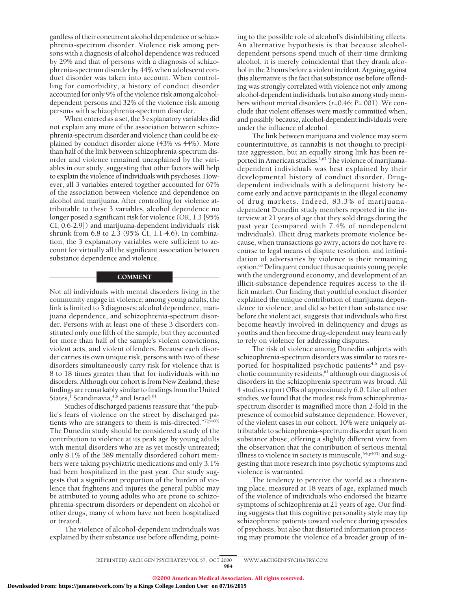gardless of their concurrent alcohol dependence or schizophrenia-spectrum disorder. Violence risk among persons with a diagnosis of alcohol dependence was reduced by 29% and that of persons with a diagnosis of schizophrenia-spectrum disorder by 44% when adolescent conduct disorder was taken into account. When controlling for comorbidity, a history of conduct disorder accounted for only 9% of the violence risk among alcoholdependent persons and 32% of the violence risk among persons with schizophrenia-spectrum disorder.

When entered as a set, the 3 explanatory variables did not explain any more of the association between schizophrenia-spectrum disorder and violence than could be explained by conduct disorder alone (43% vs 44%). More than half of the link between schizophrenia-spectrum disorder and violence remained unexplained by the variables in our study, suggesting that other factors will help to explain the violence of individuals with psychoses. However, all 3 variables entered together accounted for 67% of the association between violence and dependence on alcohol and marijuana. After controlling for violence attributable to these 3 variables, alcohol dependence no longer posed a significant risk for violence (OR, 1.3 [95% CI, 0.6-2.9]) and marijuana-dependent individuals' risk shrunk from 6.8 to 2.3 (95% CI, 1.1-4.6). In combination, the 3 explanatory variables were sufficient to account for virtually all the significant association between substance dependence and violence.

#### **COMMENT**

Not all individuals with mental disorders living in the community engage in violence; among young adults, the link is limited to 3 diagnoses: alcohol dependence, marijuana dependence, and schizophrenia-spectrum disorder. Persons with at least one of these 3 disorders constituted only one fifth of the sample, but they accounted for more than half of the sample's violent convictions, violent acts, and violent offenders. Because each disorder carries its own unique risk, persons with two of these disorders simultaneously carry risk for violence that is 8 to 18 times greater than that for individuals with no disorders. Although our cohort is from New Zealand, these findings are remarkably similar to findings from the United States, $\frac{1}{3}$  Scandinavia, $\frac{4}{6}$  and Israel.<sup>61</sup>

Studies of discharged patients reassure that "the public's fears of violence on the street by discharged patients who are strangers to them is mis-directed."7(p400) The Dunedin study should be considered a study of the contribution to violence at its peak age by young adults with mental disorders who are as yet mostly untreated; only 8.1% of the 389 mentally disordered cohort members were taking psychiatric medications and only 3.1% had been hospitalized in the past year. Our study suggests that a significant proportion of the burden of violence that frightens and injures the general public may be attributed to young adults who are prone to schizophrenia-spectrum disorders or dependent on alcohol or other drugs, many of whom have not been hospitalized or treated.

The violence of alcohol-dependent individuals was explained by their substance use before offending, pointing to the possible role of alcohol's disinhibiting effects. An alternative hypothesis is that because alcoholdependent persons spend much of their time drinking alcohol, it is merely coincidental that they drank alcohol in the 2 hours before a violent incident. Arguing against this alternative is the fact that substance use before offending was strongly correlated with violence not only among alcohol-dependent individuals, but also among study members without mental disorders (*r*=0.46; *P*=.001). We conclude that violent offenses were mostly committed when, and possibly because, alcohol-dependent individuals were under the influence of alcohol.

The link between marijuana and violence may seem counterintuitive, as cannabis is not thought to precipitate aggression, but an equally strong link has been reported in American studies.<sup>1,62</sup> The violence of marijuanadependent individuals was best explained by their developmental history of conduct disorder. Drugdependent individuals with a delinquent history become early and active participants in the illegal economy of drug markets. Indeed, 83.3% of marijuanadependent Dunedin study members reported in the interview at 21 years of age that they sold drugs during the past year (compared with 7.4% of nondependent individuals). Illicit drug markets promote violence because, when transactions go awry, actors do not have recourse to legal means of dispute resolution, and intimidation of adversaries by violence is their remaining option.63 Delinquent conduct thus acquaints young people with the underground economy, and development of an illicit-substance dependence requires access to the illicit market. Our finding that youthful conduct disorder explained the unique contribution of marijuana dependence to violence, and did so better than substance use before the violent act, suggests that individuals who first become heavily involved in delinquency and drugs as youths and then become drug-dependent may learn early to rely on violence for addressing disputes.

The risk of violence among Dunedin subjects with schizophrenia-spectrum disorders was similar to rates reported for hospitalized psychotic patients<sup>4,6</sup> and psychotic community residents,<sup>61</sup> although our diagnosis of disorders in the schizophrenia spectrum was broad. All 4 studies report ORs of approximately 6.0. Like all other studies, we found that the modest risk from schizophreniaspectrum disorder is magnified more than 2-fold in the presence of comorbid substance dependence. However, of the violent cases in our cohort, 10% were uniquely attributable to schizophrenia-spectrum disorder apart from substance abuse, offering a slightly different view from the observation that the contribution of serious mental illness to violence in society is minuscule, <sup>64(p403)</sup> and suggesting that more research into psychotic symptoms and violence is warranted.

The tendency to perceive the world as a threatening place, measured at 18 years of age, explained much of the violence of individuals who endorsed the bizarre symptoms of schizophrenia at 21 years of age. Our finding suggests that this cognitive personality style may tip schizophrenic patients toward violence during episodes of psychosis, but also that distorted information processing may promote the violence of a broader group of in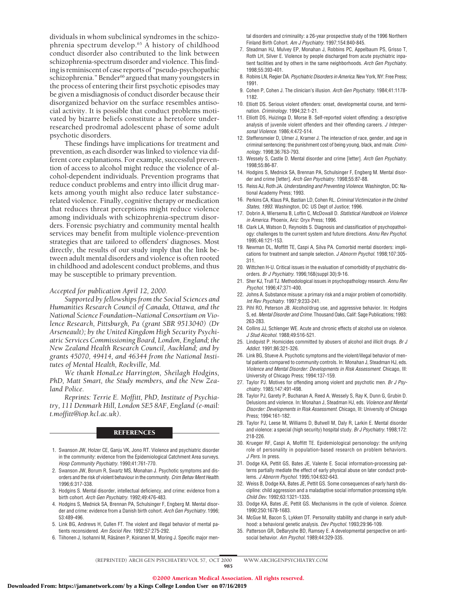dividuals in whom subclinical syndromes in the schizophrenia spectrum develop.65 A history of childhood conduct disorder also contributed to the link between schizophrenia-spectrum disorder and violence. This finding is reminiscent of case reports of "pseudo-psychopathic schizophrenia." Bender<sup>66</sup> argued that many youngsters in the process of entering their first psychotic episodes may be given a misdiagnosis of conduct disorder because their disorganized behavior on the surface resembles antisocial activity. It is possible that conduct problems motivated by bizarre beliefs constitute a heretofore underresearched prodromal adolescent phase of some adult psychotic disorders.

These findings have implications for treatment and prevention, as each disorder was linked to violence via different core explanations. For example, successful prevention of access to alcohol might reduce the violence of alcohol-dependent individuals. Prevention programs that reduce conduct problems and entry into illicit drug markets among youth might also reduce later substancerelated violence. Finally, cognitive therapy or medication that reduces threat perceptions might reduce violence among individuals with schizophrenia-spectrum disorders. Forensic psychiatry and community mental health services may benefit from multiple violence-prevention strategies that are tailored to offenders' diagnoses. Most directly, the results of our study imply that the link between adult mental disorders and violence is often rooted in childhood and adolescent conduct problems, and thus may be susceptible to primary prevention.

#### *Accepted for publication April 12, 2000.*

*Supported by fellowships from the Social Sciences and Humanities Research Council of Canada, Ottawa, and the National Science Foundation–National Consortium on Violence Research, Pittsburgh, Pa (grant SBR 9513040) (Dr Arseneault); by the United Kingdom High Security Psychiatric Services Commissioning Board, London, England; the New Zealand Health Research Council, Auckland; and by grants 45070, 49414, and 46344 from the National Institutes of Mental Health, Rockville, Md.*

*We thank HonaLee Harrington, Sheilagh Hodgins, PhD, Matt Smart, the Study members, and the New Zealand Police.*

*Reprints: Terrie E. Moffitt, PhD, Institute of Psychiatry, 111 Denmark Hill, London SE5 8AF, England (e-mail: t.moffitt@iop.kcl.ac.uk).*

#### REFERENCES

- 1. Swanson JW, Holzer CE, Ganju VK, Jono RT. Violence and psychiatric disorder in the community: evidence from the Epidemiological Catchment Area surveys. Hosp Community Psychiatry. 1990;41:761-770.
- 2. Swanson JW, Borum R, Swartz MS, Monahan J. Psychotic symptoms and disorders and the risk of violent behaviour in the community. Crim Behav Ment Health. 1996;6:317-338.
- 3. Hodgins S. Mental disorder, intellectual deficiency, and crime: evidence from a birth cohort. Arch Gen Psychiatry. 1992;49:476-483.
- 4. Hodgins S, Mednick SA, Brennan PA, Schulsinger F, Engberg M. Mental disorder and crime: evidence from a Danish birth cohort. Arch Gen Psychiatry. 1996; 53:489-496.
- 5. Link BG, Andrews H, Cullen FT. The violent and illegal behavior of mental patients reconsidered. Am Sociol Rev. 1992;57:275-292.
- 6. Tiihonen J, Isohanni M, Räsänen P, Koiranen M, Moring J. Specific major men-

tal disorders and criminality: a 26-year prospective study of the 1996 Northern Finland Birth Cohort. Am J Psychiatry. 1997;154:840-845.

- 7. Steadman HJ, Mulvey EP, Monahan J, Robbins PC, Appelbaum PS, Grisso T, Roth LH, Silver E. Violence by people discharged from acute psychiatric inpatient facilities and by others in the same neighborhoods. Arch Gen Psychiatry. 1998;55:393-401.
- 8. Robins LN, Regier DA. Psychiatric Disorders in America. New York, NY: Free Press; 1991.
- 9. Cohen P, Cohen J. The clinician's illusion. Arch Gen Psychiatry. 1984;41:1178-1182.
- 10. Elliott DS. Serious violent offenders: onset, developmental course, and termination. Criminology. 1994;32:1-21.
- 11. Elliott DS, Huizinga D, Morse B. Self-reported violent offending: a descriptive analysis of juvenile violent offenders and their offending careers. J Interpersonal Violence. 1986;4:472-514.
- 12. Steffensmeier D, Ulmer J, Kramer J. The interaction of race, gender, and age in criminal sentencing: the punishment cost of being young, black, and male. Criminology. 1998;36:763-793.
- 13. Wessely S, Castle D. Mental disorder and crime [letter]. Arch Gen Psychiatry. 1998;55:86-87.
- 14. Hodgins S, Mednick SA, Brennan PA, Schulsinger F, Engberg M. Mental disorder and crime [letter]. Arch Gen Psychiatry. 1998;55:87-88.
- 15. Reiss AJ, Roth JA. Understanding and Preventing Violence. Washington, DC: National Academy Press; 1993.
- 16. Perkins CA, Klaus PA, Bastian LD, Cohen RL. Criminal Victimization in the United States, 1993. Washington, DC: US Dept of Justice; 1996.
- 17. Dobrin A, Wiersema B, Loftin C, McDowall D. Statistical Handbook on Violence in America. Phoenix, Ariz: Oryx Press; 1996.
- 18. Clark LA, Watson D, Reynolds S. Diagnosis and classification of psychopathology: challenges to the current system and future directions. Annu Rev Psychol. 1995;46:121-153.
- 19. Newman DL, Moffitt TE, Caspi A, Silva PA. Comorbid mental disorders: implications for treatment and sample selection. J Abnorm Psychol. 1998;107:305- 311.
- 20. Wittchen H-U. Critical issues in the evaluation of comorbidity of psychiatric disorders. Br J Psychiatry. 1996;168(suppl 30):9-16.
- 21. Sher KJ, Trull TJ. Methodological issues in psychopathology research. Annu Rev Psychol. 1996;47:371-400.
- 22. Johns A. Substance misuse: a primary risk and a major problem of comorbidity. Int Rev Psychiatry. 1997;9:233-241.
- 23. Pihl RO, Peterson JB. Alcohol/drug use, and aggressive behavior. In: Hodgins S, ed. Mental Disorder and Crime. Thousand Oaks, Calif: Sage Publications; 1993: 263-283.
- 24. Collins JJ, Schlenger WE. Acute and chronic effects of alcohol use on violence. J Stud Alcohol. 1988;49:516-521.
- 25. Lindqvist P. Homicides committed by abusers of alcohol and illicit drugs. Br J Addict. 1991;86:321-326.
- 26. Link BG, Stueve A. Psychotic symptoms and the violent/illegal behavior of mental patients compared to community controls. In: Monahan J, Steadman HJ, eds. Violence and Mental Disorder: Developments in Risk Assessment. Chicago, Ill: University of Chicago Press; 1994:137-159.
- 27. Taylor PJ. Motives for offending among violent and psychotic men. Br J Psychiatry. 1985;147:491-498.
- 28. Taylor PJ, Garety P, Buchanan A, Reed A, Wessely S, Ray K, Dunn G, Grubin D. Delusions and violence. In: Monahan J, Steadman HJ, eds. Violence and Mental Disorder: Developments in Risk Assessment. Chicago, Ill: University of Chicago Press; 1994:161-182.
- 29. Taylor PJ, Leese M, Williams D, Butwell M, Daly R, Larkin E. Mental disorder and violence: a special (high security) hospital study. Br J Psychiatry. 1998;172: 218-226.
- 30. Krueger RF, Caspi A, Moffitt TE. Epidemiological personology: the unifying role of personality in population-based research on problem behaviors. J Pers. In press.
- 31. Dodge KA, Pettit GS, Bates JE, Valente E. Social information-processing patterns partially mediate the effect of early physical abuse on later conduct problems. J Abnorm Psychol. 1995;104:632-643.
- 32. Weiss B, Dodge KA, Bates JE, Pettit GS. Some consequences of early harsh discipline: child aggression and a maladaptive social information processing style. Child Dev. 1992;63:1321-1335.
- 33. Dodge KA, Bates JE, Pettit GS. Mechanisms in the cycle of violence. Science. 1990;250:1678-1683.
- 34. McGue M, Bacon S, Lykken DT. Personality stability and change in early adulthood: a behavioral genetic analysis. Dev Psychol. 1993;29:96-109.
- 35. Patterson GR, DeBaryshe BD, Ramsey E. A developmental perspective on antisocial behavior. Am Psychol. 1989;44:329-335.

(REPRINTED) ARCH GEN PSYCHIATRY/ VOL 57, OCT 2000 WWW.ARCHGENPSYCHIATRY.COM

985